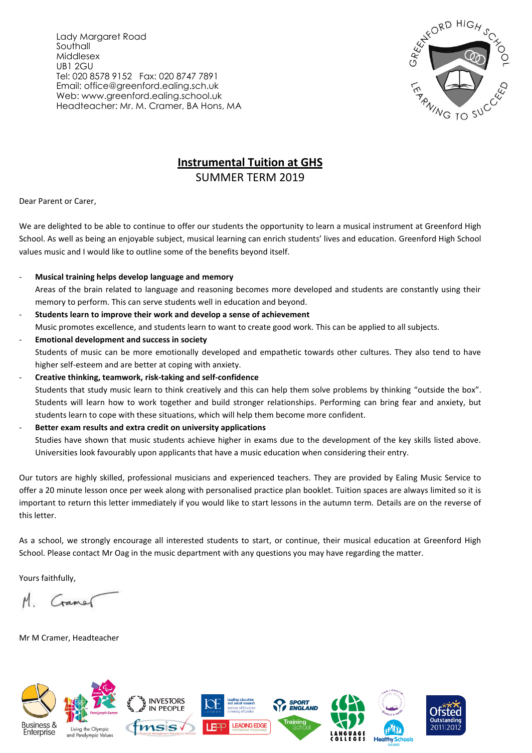Lady Margaret Road Southall Middlesex UB1 2GU Tel: 020 8578 9152 Fax: 020 8747 7891 Email: office@greenford.ealing.sch.uk Web: www.greenford.ealing.school.uk Headteacher: Mr. M. Cramer, BA Hons, MA



## **Instrumental Tuition at GHS**

SUMMER TERM 2019

Dear Parent or Carer,

We are delighted to be able to continue to offer our students the opportunity to learn a musical instrument at Greenford High School. As well as being an enjoyable subject, musical learning can enrich students' lives and education. Greenford High School values music and I would like to outline some of the benefits beyond itself.

- **Musical training helps develop language and memory** Areas of the brain related to language and reasoning becomes more developed and students are constantly using their memory to perform. This can serve students well in education and beyond.
- **Students learn to improve their work and develop a sense of achievement** Music promotes excellence, and students learn to want to create good work. This can be applied to all subjects. - **Emotional development and success in society**
- Students of music can be more emotionally developed and empathetic towards other cultures. They also tend to have higher self-esteem and are better at coping with anxiety.
- **Creative thinking, teamwork, risk-taking and self-confidence** Students that study music learn to think creatively and this can help them solve problems by thinking "outside the box". Students will learn how to work together and build stronger relationships. Performing can bring fear and anxiety, but students learn to cope with these situations, which will help them become more confident.
- **Better exam results and extra credit on university applications**

Studies have shown that music students achieve higher in exams due to the development of the key skills listed above. Universities look favourably upon applicants that have a music education when considering their entry.

Our tutors are highly skilled, professional musicians and experienced teachers. They are provided by Ealing Music Service to offer a 20 minute lesson once per week along with personalised practice plan booklet. Tuition spaces are always limited so it is important to return this letter immediately if you would like to start lessons in the autumn term. Details are on the reverse of this letter.

As a school, we strongly encourage all interested students to start, or continue, their musical education at Greenford High School. Please contact Mr Oag in the music department with any questions you may have regarding the matter.

Yours faithfully,

Cramer

Mr M Cramer, Headteacher